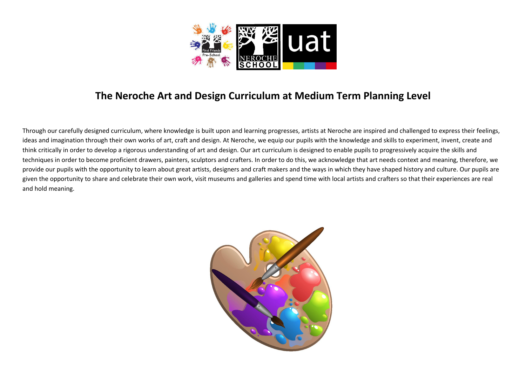

## The Neroche Art and Design Curriculum at Medium Term Planning Level

Through our carefully designed curriculum, where knowledge is built upon and learning progresses, artists at Neroche are inspired and challenged to express their feelings, ideas and imagination through their own works of art, craft and design. At Neroche, we equip our pupils with the knowledge and skills to experiment, invent, create and think critically in order to develop a rigorous understanding of art and design. Our art curriculum is designed to enable pupils to progressively acquire the skills and techniques in order to become proficient drawers, painters, sculptors and crafters. In order to do this, we acknowledge that art needs context and meaning, therefore, we provide our pupils with the opportunity to learn about great artists, designers and craft makers and the ways in which they have shaped history and culture. Our pupils are given the opportunity to share and celebrate their own work, visit museums and galleries and spend time with local artists and crafters so that their experiences are real and hold meaning.

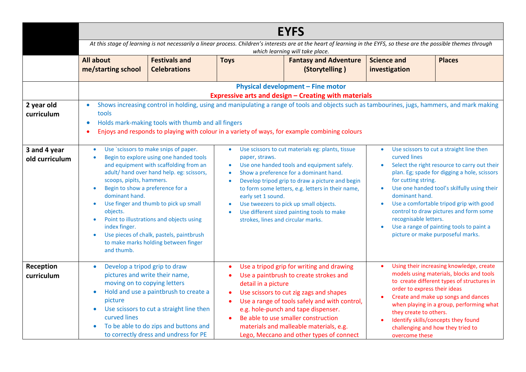|                                | <b>EYFS</b>                                                                                                                                                                                                                                                                                                                                                                                                                                                                                                                                    |                                                                                                                                                                                                       |                                                                                                                                                                                                                                                                                                                                                                                                                                                                                         |                                                                                                                                                                                                                                                                                                                                                      |                                                                                             |                                                                                                                                                                                                                                                                                                                                                               |
|--------------------------------|------------------------------------------------------------------------------------------------------------------------------------------------------------------------------------------------------------------------------------------------------------------------------------------------------------------------------------------------------------------------------------------------------------------------------------------------------------------------------------------------------------------------------------------------|-------------------------------------------------------------------------------------------------------------------------------------------------------------------------------------------------------|-----------------------------------------------------------------------------------------------------------------------------------------------------------------------------------------------------------------------------------------------------------------------------------------------------------------------------------------------------------------------------------------------------------------------------------------------------------------------------------------|------------------------------------------------------------------------------------------------------------------------------------------------------------------------------------------------------------------------------------------------------------------------------------------------------------------------------------------------------|---------------------------------------------------------------------------------------------|---------------------------------------------------------------------------------------------------------------------------------------------------------------------------------------------------------------------------------------------------------------------------------------------------------------------------------------------------------------|
|                                | At this stage of learning is not necessarily a linear process. Children's interests are at the heart of learning in the EYFS, so these are the possible themes through<br>which learning will take place.                                                                                                                                                                                                                                                                                                                                      |                                                                                                                                                                                                       |                                                                                                                                                                                                                                                                                                                                                                                                                                                                                         |                                                                                                                                                                                                                                                                                                                                                      |                                                                                             |                                                                                                                                                                                                                                                                                                                                                               |
|                                | <b>All about</b><br>me/starting school                                                                                                                                                                                                                                                                                                                                                                                                                                                                                                         | <b>Festivals and</b><br><b>Celebrations</b>                                                                                                                                                           | <b>Toys</b>                                                                                                                                                                                                                                                                                                                                                                                                                                                                             | <b>Fantasy and Adventure</b><br>(Storytelling)                                                                                                                                                                                                                                                                                                       | <b>Science and</b><br>investigation                                                         | <b>Places</b>                                                                                                                                                                                                                                                                                                                                                 |
|                                | Physical development - Fine motor<br><b>Expressive arts and design - Creating with materials</b>                                                                                                                                                                                                                                                                                                                                                                                                                                               |                                                                                                                                                                                                       |                                                                                                                                                                                                                                                                                                                                                                                                                                                                                         |                                                                                                                                                                                                                                                                                                                                                      |                                                                                             |                                                                                                                                                                                                                                                                                                                                                               |
| 2 year old<br>curriculum       | Shows increasing control in holding, using and manipulating a range of tools and objects such as tambourines, jugs, hammers, and mark making<br>$\bullet$<br>tools<br>Holds mark-making tools with thumb and all fingers<br>$\bullet$<br>Enjoys and responds to playing with colour in a variety of ways, for example combining colours                                                                                                                                                                                                        |                                                                                                                                                                                                       |                                                                                                                                                                                                                                                                                                                                                                                                                                                                                         |                                                                                                                                                                                                                                                                                                                                                      |                                                                                             |                                                                                                                                                                                                                                                                                                                                                               |
| 3 and 4 year<br>old curriculum | Use `scissors to make snips of paper.<br>$\bullet$<br>Begin to explore using one handed tools<br>and equipment with scaffolding from an<br>adult/ hand over hand help. eg: scissors,<br>scoops, pipits, hammers.<br>Begin to show a preference for a<br>$\bullet$<br>dominant hand.<br>Use finger and thumb to pick up small<br>$\bullet$<br>objects.<br>Point to illustrations and objects using<br>$\bullet$<br>index finger.<br>Use pieces of chalk, pastels, paintbrush<br>$\bullet$<br>to make marks holding between finger<br>and thumb. |                                                                                                                                                                                                       | Use scissors to cut materials eg: plants, tissue<br>$\bullet$<br>paper, straws.<br>Use one handed tools and equipment safely.<br>$\bullet$<br>Show a preference for a dominant hand.<br>$\bullet$<br>Develop tripod grip to draw a picture and begin<br>$\bullet$<br>to form some letters, e.g. letters in their name,<br>early set 1 sound.<br>Use tweezers to pick up small objects.<br>$\bullet$<br>Use different sized painting tools to make<br>strokes, lines and circular marks. |                                                                                                                                                                                                                                                                                                                                                      | $\bullet$<br>curved lines<br>for cutting string.<br>dominant hand.<br>recognisable letters. | Use scissors to cut a straight line then<br>Select the right resource to carry out their<br>plan. Eg; spade for digging a hole, scissors<br>Use one handed tool's skilfully using their<br>Use a comfortable tripod grip with good<br>control to draw pictures and form some<br>Use a range of painting tools to paint a<br>picture or make purposeful marks. |
| Reception<br>curriculum        | Develop a tripod grip to draw<br>$\bullet$<br>moving on to copying letters<br>$\bullet$<br>picture<br>curved lines                                                                                                                                                                                                                                                                                                                                                                                                                             | pictures and write their name,<br>Hold and use a paintbrush to create a<br>Use scissors to cut a straight line then<br>To be able to do zips and buttons and<br>to correctly dress and undress for PE | detail in a picture<br>$\bullet$<br>$\bullet$                                                                                                                                                                                                                                                                                                                                                                                                                                           | Use a tripod grip for writing and drawing<br>Use a paintbrush to create strokes and<br>Use scissors to cut zig zags and shapes<br>Use a range of tools safely and with control,<br>e.g. hole-punch and tape dispenser.<br>Be able to use smaller construction<br>materials and malleable materials, e.g.<br>Lego, Meccano and other types of connect | order to express their ideas<br>they create to others.<br>overcome these                    | Using their increasing knowledge, create<br>models using materials, blocks and tools<br>to create different types of structures in<br>Create and make up songs and dances<br>when playing in a group, performing what<br>Identify skills/concepts they found<br>challenging and how they tried to                                                             |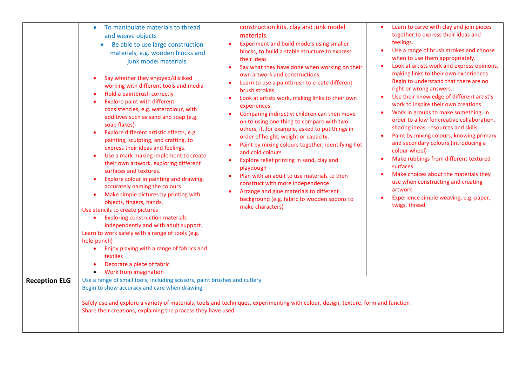|                      | To manipulate materials to thread<br>$\bullet$<br>and weave objects<br>Be able to use large construction<br>materials, e.g. wooden blocks and<br>junk model materials.<br>Say whether they enjoyed/disliked<br>$\bullet$<br>working with different tools and media<br>Hold a paintbrush correctly<br>$\bullet$<br><b>Explore paint with different</b><br>$\bullet$<br>consistencies, e.g. watercolour, with<br>additives such as sand and soap (e.g.<br>soap flakes)<br>Explore different artistic effects, e.g.<br>$\bullet$<br>painting, sculpting, and crafting, to<br>express their ideas and feelings.<br>Use a mark making implement to create<br>$\bullet$<br>their own artwork, exploring different<br>surfaces and textures.<br>Explore colour in painting and drawing,<br>$\bullet$<br>accurately naming the colours<br>Make simple pictures by printing with<br>$\bullet$<br>objects, fingers, hands.<br>Use stencils to create pictures<br><b>Exploring construction materials</b><br>$\bullet$<br>independently and with adult support.<br>Learn to work safely with a range of tools (e.g.<br>hole-punch)<br>Enjoy playing with a range of fabrics and<br>$\bullet$<br>textiles<br>Decorate a piece of fabric<br>$\bullet$<br>Work from imagination<br>$\bullet$ | construction kits, clay and junk model<br>materials.<br>Experiment and build models using smaller<br>blocks, to build a stable structure to express<br>their ideas<br>Say what they have done when working on their<br>own artwork and constructions<br>Learn to use a paintbrush to create different<br>brush strokes<br>Look at artists work, making links to their own<br>$\bullet$<br>experiences<br>Comparing indirectly: children can then move<br>on to using one thing to compare with two<br>others, if, for example, asked to put things in<br>order of height, weight or capacity.<br>Paint by mixing colours together, identifying hot<br>and cold colours<br>Explore relief printing in sand, clay and<br>$\bullet$<br>playdough<br>Plan with an adult to use materials to then<br>construct with more independence<br>Arrange and glue materials to different<br>background (e.g. fabric to wooden spoons to<br>make characters) | Learn to carve with clay and join pieces<br>together to express their ideas and<br>feelings.<br>Use a range of brush strokes and choose<br>when to use them appropriately.<br>Look at artists work and express opinions,<br>$\bullet$<br>making links to their own experiences.<br>Begin to understand that there are no<br>right or wrong answers.<br>Use their knowledge of different artist's<br>work to inspire their own creations<br>Work in groups to make something, in<br>order to allow for creative collaboration,<br>sharing ideas, resources and skills.<br>Paint by mixing colours, knowing primary<br>and secondary colours (introducing a<br>colour wheel)<br>Make rubbings from different textured<br>surfaces<br>Make choices about the materials they<br>use when constructing and creating<br>artwork<br>Experience simple weaving, e.g. paper,<br>twigs, thread |
|----------------------|--------------------------------------------------------------------------------------------------------------------------------------------------------------------------------------------------------------------------------------------------------------------------------------------------------------------------------------------------------------------------------------------------------------------------------------------------------------------------------------------------------------------------------------------------------------------------------------------------------------------------------------------------------------------------------------------------------------------------------------------------------------------------------------------------------------------------------------------------------------------------------------------------------------------------------------------------------------------------------------------------------------------------------------------------------------------------------------------------------------------------------------------------------------------------------------------------------------------------------------------------------------------------------|------------------------------------------------------------------------------------------------------------------------------------------------------------------------------------------------------------------------------------------------------------------------------------------------------------------------------------------------------------------------------------------------------------------------------------------------------------------------------------------------------------------------------------------------------------------------------------------------------------------------------------------------------------------------------------------------------------------------------------------------------------------------------------------------------------------------------------------------------------------------------------------------------------------------------------------------|--------------------------------------------------------------------------------------------------------------------------------------------------------------------------------------------------------------------------------------------------------------------------------------------------------------------------------------------------------------------------------------------------------------------------------------------------------------------------------------------------------------------------------------------------------------------------------------------------------------------------------------------------------------------------------------------------------------------------------------------------------------------------------------------------------------------------------------------------------------------------------------|
| <b>Reception ELG</b> | Use a range of small tools, including scissors, paint brushes and cutlery<br>Begin to show accuracy and care when drawing.<br>Share their creations, explaining the process they have used                                                                                                                                                                                                                                                                                                                                                                                                                                                                                                                                                                                                                                                                                                                                                                                                                                                                                                                                                                                                                                                                                     | Safely use and explore a variety of materials, tools and techniques, experimenting with colour, design, texture, form and function                                                                                                                                                                                                                                                                                                                                                                                                                                                                                                                                                                                                                                                                                                                                                                                                             |                                                                                                                                                                                                                                                                                                                                                                                                                                                                                                                                                                                                                                                                                                                                                                                                                                                                                      |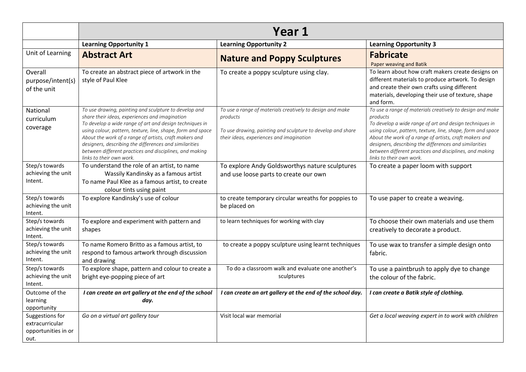|                                                                   | Year 1                                                                                                                                                                                                                                                                                                                                                                                                                                       |                                                                                                                                                                                  |                                                                                                                                                                                                                                                                                                                                                                                                            |  |
|-------------------------------------------------------------------|----------------------------------------------------------------------------------------------------------------------------------------------------------------------------------------------------------------------------------------------------------------------------------------------------------------------------------------------------------------------------------------------------------------------------------------------|----------------------------------------------------------------------------------------------------------------------------------------------------------------------------------|------------------------------------------------------------------------------------------------------------------------------------------------------------------------------------------------------------------------------------------------------------------------------------------------------------------------------------------------------------------------------------------------------------|--|
|                                                                   | <b>Learning Opportunity 1</b>                                                                                                                                                                                                                                                                                                                                                                                                                | <b>Learning Opportunity 2</b>                                                                                                                                                    | <b>Learning Opportunity 3</b>                                                                                                                                                                                                                                                                                                                                                                              |  |
| Unit of Learning                                                  | <b>Abstract Art</b>                                                                                                                                                                                                                                                                                                                                                                                                                          | <b>Nature and Poppy Sculptures</b>                                                                                                                                               | <b>Fabricate</b><br>Paper weaving and Batik                                                                                                                                                                                                                                                                                                                                                                |  |
| Overall<br>purpose/intent(s)<br>of the unit                       | To create an abstract piece of artwork in the<br>style of Paul Klee                                                                                                                                                                                                                                                                                                                                                                          | To create a poppy sculpture using clay.                                                                                                                                          | To learn about how craft makers create designs on<br>different materials to produce artwork. To design<br>and create their own crafts using different<br>materials, developing their use of texture, shape<br>and form.                                                                                                                                                                                    |  |
| National<br>curriculum<br>coverage                                | To use drawing, painting and sculpture to develop and<br>share their ideas, experiences and imagination<br>To develop a wide range of art and design techniques in<br>using colour, pattern, texture, line, shape, form and space<br>About the work of a range of artists, craft makers and<br>designers, describing the differences and similarities<br>between different practices and disciplines, and making<br>links to their own work. | To use a range of materials creatively to design and make<br>products<br>To use drawing, painting and sculpture to develop and share<br>their ideas, experiences and imagination | To use a range of materials creatively to design and make<br>products<br>To develop a wide range of art and design techniques in<br>using colour, pattern, texture, line, shape, form and space<br>About the work of a range of artists, craft makers and<br>designers, describing the differences and similarities<br>between different practices and disciplines, and making<br>links to their own work. |  |
| Step/s towards<br>achieving the unit<br>Intent.                   | To understand the role of an artist, to name<br>Wassily Kandinsky as a famous artist<br>To name Paul Klee as a famous artist, to create<br>colour tints using paint                                                                                                                                                                                                                                                                          | To explore Andy Goldsworthys nature sculptures<br>and use loose parts to create our own                                                                                          | To create a paper loom with support                                                                                                                                                                                                                                                                                                                                                                        |  |
| Step/s towards<br>achieving the unit<br>Intent.                   | To explore Kandinsky's use of colour                                                                                                                                                                                                                                                                                                                                                                                                         | to create temporary circular wreaths for poppies to<br>be placed on                                                                                                              | To use paper to create a weaving.                                                                                                                                                                                                                                                                                                                                                                          |  |
| Step/s towards<br>achieving the unit<br>Intent.                   | To explore and experiment with pattern and<br>shapes                                                                                                                                                                                                                                                                                                                                                                                         | to learn techniques for working with clay                                                                                                                                        | To choose their own materials and use them<br>creatively to decorate a product.                                                                                                                                                                                                                                                                                                                            |  |
| Step/s towards<br>achieving the unit<br>Intent.                   | To name Romero Britto as a famous artist, to<br>respond to famous artwork through discussion<br>and drawing                                                                                                                                                                                                                                                                                                                                  | to create a poppy sculpture using learnt techniques                                                                                                                              | To use wax to transfer a simple design onto<br>fabric.                                                                                                                                                                                                                                                                                                                                                     |  |
| Step/s towards<br>achieving the unit<br>Intent.                   | To explore shape, pattern and colour to create a<br>bright eye-popping piece of art                                                                                                                                                                                                                                                                                                                                                          | To do a classroom walk and evaluate one another's<br>sculptures                                                                                                                  | To use a paintbrush to apply dye to change<br>the colour of the fabric.                                                                                                                                                                                                                                                                                                                                    |  |
| Outcome of the<br>learning<br>opportunity                         | I can create an art gallery at the end of the school<br>day.                                                                                                                                                                                                                                                                                                                                                                                 | I can create an art gallery at the end of the school day.                                                                                                                        | I can create a Batik style of clothing.                                                                                                                                                                                                                                                                                                                                                                    |  |
| Suggestions for<br>extracurricular<br>opportunities in or<br>out. | Go on a virtual art gallery tour                                                                                                                                                                                                                                                                                                                                                                                                             | Visit local war memorial                                                                                                                                                         | Get a local weaving expert in to work with children                                                                                                                                                                                                                                                                                                                                                        |  |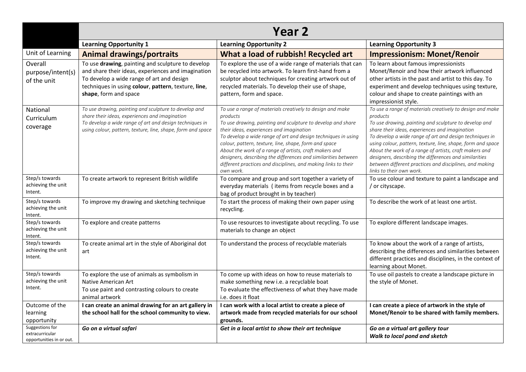|                                                                | <b>Year 2</b>                                                                                                                                                                                                                        |                                                                                                                                                                                                                                                                                                                                                                                                                                                                                                                       |                                                                                                                                                                                                                                                                                                                                                                                                                                                                                                                       |  |
|----------------------------------------------------------------|--------------------------------------------------------------------------------------------------------------------------------------------------------------------------------------------------------------------------------------|-----------------------------------------------------------------------------------------------------------------------------------------------------------------------------------------------------------------------------------------------------------------------------------------------------------------------------------------------------------------------------------------------------------------------------------------------------------------------------------------------------------------------|-----------------------------------------------------------------------------------------------------------------------------------------------------------------------------------------------------------------------------------------------------------------------------------------------------------------------------------------------------------------------------------------------------------------------------------------------------------------------------------------------------------------------|--|
|                                                                | <b>Learning Opportunity 1</b>                                                                                                                                                                                                        | <b>Learning Opportunity 2</b>                                                                                                                                                                                                                                                                                                                                                                                                                                                                                         | <b>Learning Opportunity 3</b>                                                                                                                                                                                                                                                                                                                                                                                                                                                                                         |  |
| Unit of Learning                                               | <b>Animal drawings/portraits</b>                                                                                                                                                                                                     | What a load of rubbish! Recycled art                                                                                                                                                                                                                                                                                                                                                                                                                                                                                  | <b>Impressionism: Monet/Renoir</b>                                                                                                                                                                                                                                                                                                                                                                                                                                                                                    |  |
| Overall<br>purpose/intent(s)<br>of the unit                    | To use drawing, painting and sculpture to develop<br>and share their ideas, experiences and imagination<br>To develop a wide range of art and design<br>techniques in using colour, pattern, texture, line,<br>shape, form and space | To explore the use of a wide range of materials that can<br>be recycled into artwork. To learn first-hand from a<br>sculptor about techniques for creating artwork out of<br>recycled materials. To develop their use of shape,<br>pattern, form and space.                                                                                                                                                                                                                                                           | To learn about famous impressionists<br>Monet/Renoir and how their artwork influenced<br>other artists in the past and artist to this day. To<br>experiment and develop techniques using texture,<br>colour and shape to create paintings with an<br>impressionist style.                                                                                                                                                                                                                                             |  |
| National<br>Curriculum<br>coverage                             | To use drawing, painting and sculpture to develop and<br>share their ideas, experiences and imagination<br>To develop a wide range of art and design techniques in<br>using colour, pattern, texture, line, shape, form and space    | To use a range of materials creatively to design and make<br>products<br>To use drawing, painting and sculpture to develop and share<br>their ideas, experiences and imagination<br>To develop a wide range of art and design techniques in using<br>colour, pattern, texture, line, shape, form and space<br>About the work of a range of artists, craft makers and<br>designers, describing the differences and similarities between<br>different practices and disciplines, and making links to their<br>own work. | To use a range of materials creatively to design and make<br>products<br>To use drawing, painting and sculpture to develop and<br>share their ideas, experiences and imagination<br>To develop a wide range of art and design techniques in<br>using colour, pattern, texture, line, shape, form and space<br>About the work of a range of artists, craft makers and<br>designers, describing the differences and similarities<br>between different practices and disciplines, and making<br>links to their own work. |  |
| Step/s towards<br>achieving the unit<br>Intent.                | To create artwork to represent British wildlife                                                                                                                                                                                      | To compare and group and sort together a variety of<br>everyday materials (items from recycle boxes and a<br>bag of product brought in by teacher)                                                                                                                                                                                                                                                                                                                                                                    | To use colour and texture to paint a landscape and<br>/ or cityscape.                                                                                                                                                                                                                                                                                                                                                                                                                                                 |  |
| Step/s towards<br>achieving the unit<br>Intent.                | To improve my drawing and sketching technique                                                                                                                                                                                        | To start the process of making their own paper using<br>recycling.                                                                                                                                                                                                                                                                                                                                                                                                                                                    | To describe the work of at least one artist.                                                                                                                                                                                                                                                                                                                                                                                                                                                                          |  |
| Step/s towards<br>achieving the unit<br>Intent.                | To explore and create patterns                                                                                                                                                                                                       | To use resources to investigate about recycling. To use<br>materials to change an object                                                                                                                                                                                                                                                                                                                                                                                                                              | To explore different landscape images.                                                                                                                                                                                                                                                                                                                                                                                                                                                                                |  |
| Step/s towards<br>achieving the unit<br>Intent.                | To create animal art in the style of Aboriginal dot<br>art                                                                                                                                                                           | To understand the process of recyclable materials                                                                                                                                                                                                                                                                                                                                                                                                                                                                     | To know about the work of a range of artists,<br>describing the differences and similarities between<br>different practices and disciplines, in the context of<br>learning about Monet.                                                                                                                                                                                                                                                                                                                               |  |
| Step/s towards<br>achieving the unit<br>Intent.                | To explore the use of animals as symbolism in<br>Native American Art<br>To use paint and contrasting colours to create<br>animal artwork                                                                                             | To come up with ideas on how to reuse materials to<br>make something new i.e. a recyclable boat<br>To evaluate the effectiveness of what they have made<br>i.e. does it float                                                                                                                                                                                                                                                                                                                                         | To use oil pastels to create a landscape picture in<br>the style of Monet.                                                                                                                                                                                                                                                                                                                                                                                                                                            |  |
| Outcome of the<br>learning<br>opportunity                      | I can create an animal drawing for an art gallery in<br>the school hall for the school community to view.                                                                                                                            | I can work with a local artist to create a piece of<br>artwork made from recycled materials for our school<br>grounds.                                                                                                                                                                                                                                                                                                                                                                                                | I can create a piece of artwork in the style of<br>Monet/Renoir to be shared with family members.                                                                                                                                                                                                                                                                                                                                                                                                                     |  |
| Suggestions for<br>extracurricular<br>opportunities in or out. | Go on a virtual safari                                                                                                                                                                                                               | Get in a local artist to show their art technique                                                                                                                                                                                                                                                                                                                                                                                                                                                                     | Go on a virtual art gallery tour<br>Walk to local pond and sketch                                                                                                                                                                                                                                                                                                                                                                                                                                                     |  |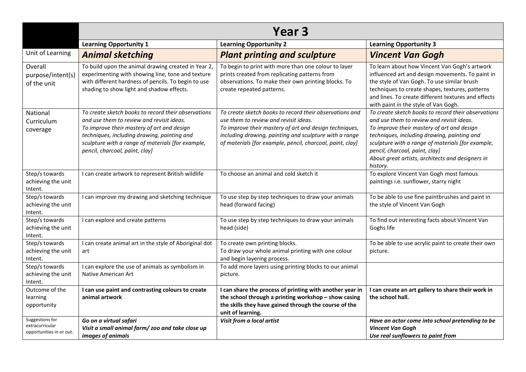|                                                                | Year <sub>3</sub>                                                                                                                                                                                                                                                                    |                                                                                                                                                                                                                                                                                   |                                                                                                                                                                                                                                                                                                                                                      |  |
|----------------------------------------------------------------|--------------------------------------------------------------------------------------------------------------------------------------------------------------------------------------------------------------------------------------------------------------------------------------|-----------------------------------------------------------------------------------------------------------------------------------------------------------------------------------------------------------------------------------------------------------------------------------|------------------------------------------------------------------------------------------------------------------------------------------------------------------------------------------------------------------------------------------------------------------------------------------------------------------------------------------------------|--|
|                                                                | <b>Learning Opportunity 1</b>                                                                                                                                                                                                                                                        | <b>Learning Opportunity 2</b>                                                                                                                                                                                                                                                     | <b>Learning Opportunity 3</b>                                                                                                                                                                                                                                                                                                                        |  |
| Unit of Learning                                               | <b>Animal sketching</b>                                                                                                                                                                                                                                                              | <b>Plant printing and sculpture</b>                                                                                                                                                                                                                                               | <b>Vincent Van Gogh</b>                                                                                                                                                                                                                                                                                                                              |  |
| Overall<br>purpose/intent(s)<br>of the unit                    | To build upon the animal drawing created in Year 2,<br>experimenting with showing line, tone and texture<br>with different hardness of pencils. To begin to use<br>shading to show light and shadow effects.                                                                         | To begin to print with more than one colour to layer<br>prints created from replicating patterns from<br>observations. To make their own printing blocks. To<br>create repeated patterns.                                                                                         | To learn about how Vincent Van Gogh's artwork<br>influenced art and design movements. To paint in<br>the style of Van Gogh. To use similar brush<br>techniques to create shapes, textures, patterns<br>and lines. To create different textures and effects<br>with paint in the style of Van Gogh.                                                   |  |
| National<br>Curriculum<br>coverage                             | To create sketch books to record their observations<br>and use them to review and revisit ideas.<br>To improve their mastery of art and design<br>techniques, including drawing, painting and<br>sculpture with a range of materials [for example,<br>pencil, charcoal, paint, clay] | To create sketch books to record their observations and<br>use them to review and revisit ideas.<br>To improve their mastery of art and design techniques,<br>including drawing, painting and sculpture with a range<br>of materials [for example, pencil, charcoal, paint, clay] | To create sketch books to record their observations<br>and use them to review and revisit ideas.<br>To improve their mastery of art and design<br>techniques, including drawing, painting and<br>sculpture with a range of materials [for example,<br>pencil, charcoal, paint, clay]<br>About great artists, architects and designers in<br>history. |  |
| Step/s towards<br>achieving the unit<br>Intent.                | I can create artwork to represent British wildlife                                                                                                                                                                                                                                   | To choose an animal and cold sketch it                                                                                                                                                                                                                                            | To explore Vincent Van Gogh most famous<br>paintings i.e. sunflower, starry night                                                                                                                                                                                                                                                                    |  |
| Step/s towards<br>achieving the unit<br>Intent.                | I can improve my drawing and sketching technique                                                                                                                                                                                                                                     | To use step by step techniques to draw your animals<br>head (forward facing)                                                                                                                                                                                                      | To be able to use fine paintbrushes and paint in<br>the style of Vincent Van Gogh                                                                                                                                                                                                                                                                    |  |
| Step/s towards<br>achieving the unit<br>Intent.                | I can explore and create patterns                                                                                                                                                                                                                                                    | To use step by step techniques to draw your animals<br>head (side)                                                                                                                                                                                                                | To find out interesting facts about Vincent Van<br>Goghs life                                                                                                                                                                                                                                                                                        |  |
| Step/s towards<br>achieving the unit<br>Intent.                | I can create animal art in the style of Aboriginal dot<br>art                                                                                                                                                                                                                        | To create own printing blocks.<br>To draw your whole animal printing with one colour<br>and begin layering process.                                                                                                                                                               | To be able to use acrylic paint to create their own<br>picture.                                                                                                                                                                                                                                                                                      |  |
| Step/s towards<br>achieving the unit<br>Intent.                | I can explore the use of animals as symbolism in<br>Native American Art                                                                                                                                                                                                              | To add more layers using printing blocks to our animal<br>picture.                                                                                                                                                                                                                |                                                                                                                                                                                                                                                                                                                                                      |  |
| Outcome of the<br>learning<br>opportunity                      | I can use paint and contrasting colours to create<br>animal artwork                                                                                                                                                                                                                  | I can share the process of printing with another year in<br>the school through a printing workshop - show casing<br>the skills they have gained through the course of the<br>unit of learning.                                                                                    | I can create an art gallery to share their work in<br>the school hall.                                                                                                                                                                                                                                                                               |  |
| Suggestions for<br>extracurricular<br>opportunities in or out. | Go on a virtual safari<br>Visit a small animal farm/ zoo and take close up<br>images of animals                                                                                                                                                                                      | Visit from a local artist                                                                                                                                                                                                                                                         | Have an actor come into school pretending to be<br><b>Vincent Van Gogh</b><br>Use real sunflowers to paint from                                                                                                                                                                                                                                      |  |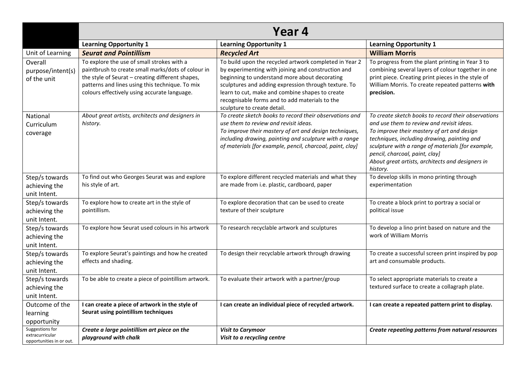|                                                                | Year 4                                                                                                                                                                                                                                                  |                                                                                                                                                                                                                                                                                                                                                           |                                                                                                                                                                                                                                                                                                                                                      |  |
|----------------------------------------------------------------|---------------------------------------------------------------------------------------------------------------------------------------------------------------------------------------------------------------------------------------------------------|-----------------------------------------------------------------------------------------------------------------------------------------------------------------------------------------------------------------------------------------------------------------------------------------------------------------------------------------------------------|------------------------------------------------------------------------------------------------------------------------------------------------------------------------------------------------------------------------------------------------------------------------------------------------------------------------------------------------------|--|
|                                                                | <b>Learning Opportunity 1</b>                                                                                                                                                                                                                           | <b>Learning Opportunity 1</b>                                                                                                                                                                                                                                                                                                                             | <b>Learning Opportunity 1</b>                                                                                                                                                                                                                                                                                                                        |  |
| Unit of Learning                                               | <b>Seurat and Pointillism</b>                                                                                                                                                                                                                           | <b>Recycled Art</b>                                                                                                                                                                                                                                                                                                                                       | <b>William Morris</b>                                                                                                                                                                                                                                                                                                                                |  |
| Overall<br>purpose/intent(s)<br>of the unit                    | To explore the use of small strokes with a<br>paintbrush to create small marks/dots of colour in<br>the style of Seurat - creating different shapes,<br>patterns and lines using this technique. To mix<br>colours effectively using accurate language. | To build upon the recycled artwork completed in Year 2<br>by experimenting with joining and construction and<br>beginning to understand more about decorating<br>sculptures and adding expression through texture. To<br>learn to cut, make and combine shapes to create<br>recognisable forms and to add materials to the<br>sculpture to create detail. | To progress from the plant printing in Year 3 to<br>combining several layers of colour together in one<br>print piece. Creating print pieces in the style of<br>William Morris. To create repeated patterns with<br>precision.                                                                                                                       |  |
| National<br>Curriculum<br>coverage                             | About great artists, architects and designers in<br>history.                                                                                                                                                                                            | To create sketch books to record their observations and<br>use them to review and revisit ideas.<br>To improve their mastery of art and design techniques,<br>including drawing, painting and sculpture with a range<br>of materials [for example, pencil, charcoal, paint, clay]                                                                         | To create sketch books to record their observations<br>and use them to review and revisit ideas.<br>To improve their mastery of art and design<br>techniques, including drawing, painting and<br>sculpture with a range of materials [for example,<br>pencil, charcoal, paint, clay]<br>About great artists, architects and designers in<br>history. |  |
| Step/s towards<br>achieving the<br>unit Intent.                | To find out who Georges Seurat was and explore<br>his style of art.                                                                                                                                                                                     | To explore different recycled materials and what they<br>are made from i.e. plastic, cardboard, paper                                                                                                                                                                                                                                                     | To develop skills in mono printing through<br>experimentation                                                                                                                                                                                                                                                                                        |  |
| Step/s towards<br>achieving the<br>unit Intent.                | To explore how to create art in the style of<br>pointillism.                                                                                                                                                                                            | To explore decoration that can be used to create<br>texture of their sculpture                                                                                                                                                                                                                                                                            | To create a block print to portray a social or<br>political issue                                                                                                                                                                                                                                                                                    |  |
| Step/s towards<br>achieving the<br>unit Intent.                | To explore how Seurat used colours in his artwork                                                                                                                                                                                                       | To research recyclable artwork and sculptures                                                                                                                                                                                                                                                                                                             | To develop a lino print based on nature and the<br>work of William Morris                                                                                                                                                                                                                                                                            |  |
| Step/s towards<br>achieving the<br>unit Intent.                | To explore Seurat's paintings and how he created<br>effects and shading.                                                                                                                                                                                | To design their recyclable artwork through drawing                                                                                                                                                                                                                                                                                                        | To create a successful screen print inspired by pop<br>art and consumable products.                                                                                                                                                                                                                                                                  |  |
| Step/s towards<br>achieving the<br>unit Intent.                | To be able to create a piece of pointillism artwork.                                                                                                                                                                                                    | To evaluate their artwork with a partner/group                                                                                                                                                                                                                                                                                                            | To select appropriate materials to create a<br>textured surface to create a collagraph plate.                                                                                                                                                                                                                                                        |  |
| Outcome of the<br>learning<br>opportunity                      | I can create a piece of artwork in the style of<br>Seurat using pointillism techniques                                                                                                                                                                  | I can create an individual piece of recycled artwork.                                                                                                                                                                                                                                                                                                     | I can create a repeated pattern print to display.                                                                                                                                                                                                                                                                                                    |  |
| Suggestions for<br>extracurricular<br>opportunities in or out. | Create a large pointillism art piece on the<br>playground with chalk                                                                                                                                                                                    | <b>Visit to Carymoor</b><br>Visit to a recycling centre                                                                                                                                                                                                                                                                                                   | Create repeating patterns from natural resources                                                                                                                                                                                                                                                                                                     |  |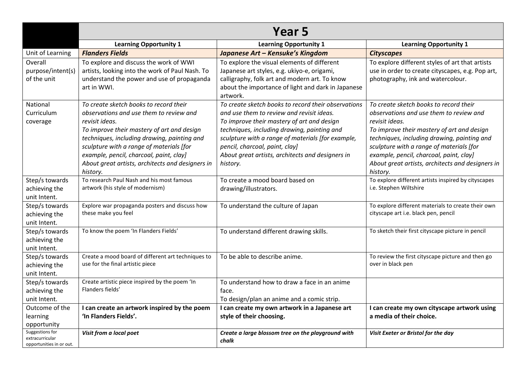|                                                                | Year 5                                                                                                                                                                                                                                                                                                                                                  |                                                                                                                                                                                                                                                                                                                                                      |                                                                                                                                                                                                                                                                                                                                                         |  |
|----------------------------------------------------------------|---------------------------------------------------------------------------------------------------------------------------------------------------------------------------------------------------------------------------------------------------------------------------------------------------------------------------------------------------------|------------------------------------------------------------------------------------------------------------------------------------------------------------------------------------------------------------------------------------------------------------------------------------------------------------------------------------------------------|---------------------------------------------------------------------------------------------------------------------------------------------------------------------------------------------------------------------------------------------------------------------------------------------------------------------------------------------------------|--|
|                                                                | <b>Learning Opportunity 1</b>                                                                                                                                                                                                                                                                                                                           | <b>Learning Opportunity 1</b>                                                                                                                                                                                                                                                                                                                        | <b>Learning Opportunity 1</b>                                                                                                                                                                                                                                                                                                                           |  |
| Unit of Learning                                               | <b>Flanders Fields</b>                                                                                                                                                                                                                                                                                                                                  | Japanese Art - Kensuke's Kingdom                                                                                                                                                                                                                                                                                                                     | <b>Cityscapes</b>                                                                                                                                                                                                                                                                                                                                       |  |
| Overall<br>purpose/intent(s)<br>of the unit                    | To explore and discuss the work of WWI<br>artists, looking into the work of Paul Nash. To<br>understand the power and use of propaganda<br>art in WWI.                                                                                                                                                                                                  | To explore the visual elements of different<br>Japanese art styles, e.g. ukiyo-e, origami,<br>calligraphy, folk art and modern art. To know<br>about the importance of light and dark in Japanese<br>artwork.                                                                                                                                        | To explore different styles of art that artists<br>use in order to create cityscapes, e.g. Pop art,<br>photography, ink and watercolour.                                                                                                                                                                                                                |  |
| National<br>Curriculum<br>coverage                             | To create sketch books to record their<br>observations and use them to review and<br>revisit ideas.<br>To improve their mastery of art and design<br>techniques, including drawing, painting and<br>sculpture with a range of materials [for<br>example, pencil, charcoal, paint, clay]<br>About great artists, architects and designers in<br>history. | To create sketch books to record their observations<br>and use them to review and revisit ideas.<br>To improve their mastery of art and design<br>techniques, including drawing, painting and<br>sculpture with a range of materials [for example,<br>pencil, charcoal, paint, clay]<br>About great artists, architects and designers in<br>history. | To create sketch books to record their<br>observations and use them to review and<br>revisit ideas.<br>To improve their mastery of art and design<br>techniques, including drawing, painting and<br>sculpture with a range of materials [for<br>example, pencil, charcoal, paint, clay]<br>About great artists, architects and designers in<br>history. |  |
| Step/s towards<br>achieving the<br>unit Intent.                | To research Paul Nash and his most famous<br>artwork (his style of modernism)                                                                                                                                                                                                                                                                           | To create a mood board based on<br>drawing/illustrators.                                                                                                                                                                                                                                                                                             | To explore different artists inspired by cityscapes<br>i.e. Stephen Wiltshire                                                                                                                                                                                                                                                                           |  |
| Step/s towards<br>achieving the<br>unit Intent.                | Explore war propaganda posters and discuss how<br>these make you feel                                                                                                                                                                                                                                                                                   | To understand the culture of Japan                                                                                                                                                                                                                                                                                                                   | To explore different materials to create their own<br>cityscape art i.e. black pen, pencil                                                                                                                                                                                                                                                              |  |
| Step/s towards<br>achieving the<br>unit Intent.                | To know the poem 'In Flanders Fields'                                                                                                                                                                                                                                                                                                                   | To understand different drawing skills.                                                                                                                                                                                                                                                                                                              | To sketch their first cityscape picture in pencil                                                                                                                                                                                                                                                                                                       |  |
| Step/s towards<br>achieving the<br>unit Intent.                | Create a mood board of different art techniques to<br>use for the final artistic piece                                                                                                                                                                                                                                                                  | To be able to describe anime.                                                                                                                                                                                                                                                                                                                        | To review the first cityscape picture and then go<br>over in black pen                                                                                                                                                                                                                                                                                  |  |
| Step/s towards<br>achieving the<br>unit Intent.                | Create artistic piece inspired by the poem 'In<br>Flanders fields'                                                                                                                                                                                                                                                                                      | To understand how to draw a face in an anime<br>face.<br>To design/plan an anime and a comic strip.                                                                                                                                                                                                                                                  |                                                                                                                                                                                                                                                                                                                                                         |  |
| Outcome of the<br>learning<br>opportunity                      | I can create an artwork inspired by the poem<br>'In Flanders Fields'.                                                                                                                                                                                                                                                                                   | I can create my own artwork in a Japanese art<br>style of their choosing.                                                                                                                                                                                                                                                                            | I can create my own cityscape artwork using<br>a media of their choice.                                                                                                                                                                                                                                                                                 |  |
| Suggestions for<br>extracurricular<br>opportunities in or out. | Visit from a local poet                                                                                                                                                                                                                                                                                                                                 | Create a large blossom tree on the playground with<br>chalk                                                                                                                                                                                                                                                                                          | Visit Exeter or Bristol for the day                                                                                                                                                                                                                                                                                                                     |  |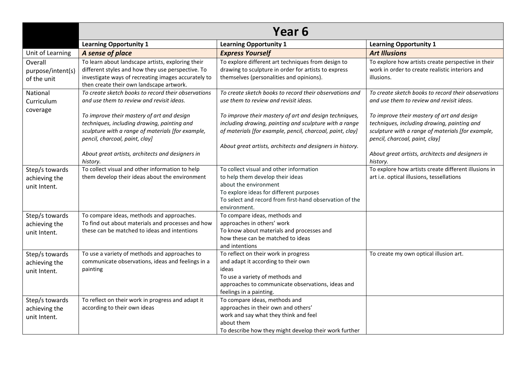|                                                 | Year <sub>6</sub>                                                                                                                                                                                                                                |                                                                                                                                                                                                                                            |                                                                                                                                                                                                                                                  |  |
|-------------------------------------------------|--------------------------------------------------------------------------------------------------------------------------------------------------------------------------------------------------------------------------------------------------|--------------------------------------------------------------------------------------------------------------------------------------------------------------------------------------------------------------------------------------------|--------------------------------------------------------------------------------------------------------------------------------------------------------------------------------------------------------------------------------------------------|--|
|                                                 | <b>Learning Opportunity 1</b>                                                                                                                                                                                                                    | <b>Learning Opportunity 1</b>                                                                                                                                                                                                              | <b>Learning Opportunity 1</b>                                                                                                                                                                                                                    |  |
| Unit of Learning                                | A sense of place                                                                                                                                                                                                                                 | <b>Express Yourself</b>                                                                                                                                                                                                                    | <b>Art Illusions</b>                                                                                                                                                                                                                             |  |
| Overall<br>purpose/intent(s)<br>of the unit     | To learn about landscape artists, exploring their<br>different styles and how they use perspective. To<br>investigate ways of recreating images accurately to<br>then create their own landscape artwork.                                        | To explore different art techniques from design to<br>drawing to sculpture in order for artists to express<br>themselves (personalities and opinions).                                                                                     | To explore how artists create perspective in their<br>work in order to create realistic interiors and<br>illusions.                                                                                                                              |  |
| National<br>Curriculum<br>coverage              | To create sketch books to record their observations<br>and use them to review and revisit ideas.                                                                                                                                                 | To create sketch books to record their observations and<br>use them to review and revisit ideas.                                                                                                                                           | To create sketch books to record their observations<br>and use them to review and revisit ideas.                                                                                                                                                 |  |
|                                                 | To improve their mastery of art and design<br>techniques, including drawing, painting and<br>sculpture with a range of materials [for example,<br>pencil, charcoal, paint, clay]<br>About great artists, architects and designers in<br>history. | To improve their mastery of art and design techniques,<br>including drawing, painting and sculpture with a range<br>of materials [for example, pencil, charcoal, paint, clay]<br>About great artists, architects and designers in history. | To improve their mastery of art and design<br>techniques, including drawing, painting and<br>sculpture with a range of materials [for example,<br>pencil, charcoal, paint, clay]<br>About great artists, architects and designers in<br>history. |  |
| Step/s towards<br>achieving the<br>unit Intent. | To collect visual and other information to help<br>them develop their ideas about the environment                                                                                                                                                | To collect visual and other information<br>to help them develop their ideas<br>about the environment<br>To explore ideas for different purposes<br>To select and record from first-hand observation of the<br>environment.                 | To explore how artists create different illusions in<br>art i.e. optical illusions, tessellations                                                                                                                                                |  |
| Step/s towards<br>achieving the<br>unit Intent. | To compare ideas, methods and approaches.<br>To find out about materials and processes and how<br>these can be matched to ideas and intentions                                                                                                   | To compare ideas, methods and<br>approaches in others' work<br>To know about materials and processes and<br>how these can be matched to ideas<br>and intentions                                                                            |                                                                                                                                                                                                                                                  |  |
| Step/s towards<br>achieving the<br>unit Intent. | To use a variety of methods and approaches to<br>communicate observations, ideas and feelings in a<br>painting                                                                                                                                   | To reflect on their work in progress<br>and adapt it according to their own<br>ideas<br>To use a variety of methods and<br>approaches to communicate observations, ideas and<br>feelings in a painting.                                    | To create my own optical illusion art.                                                                                                                                                                                                           |  |
| Step/s towards<br>achieving the<br>unit Intent. | To reflect on their work in progress and adapt it<br>according to their own ideas                                                                                                                                                                | To compare ideas, methods and<br>approaches in their own and others'<br>work and say what they think and feel<br>about them<br>To describe how they might develop their work further                                                       |                                                                                                                                                                                                                                                  |  |